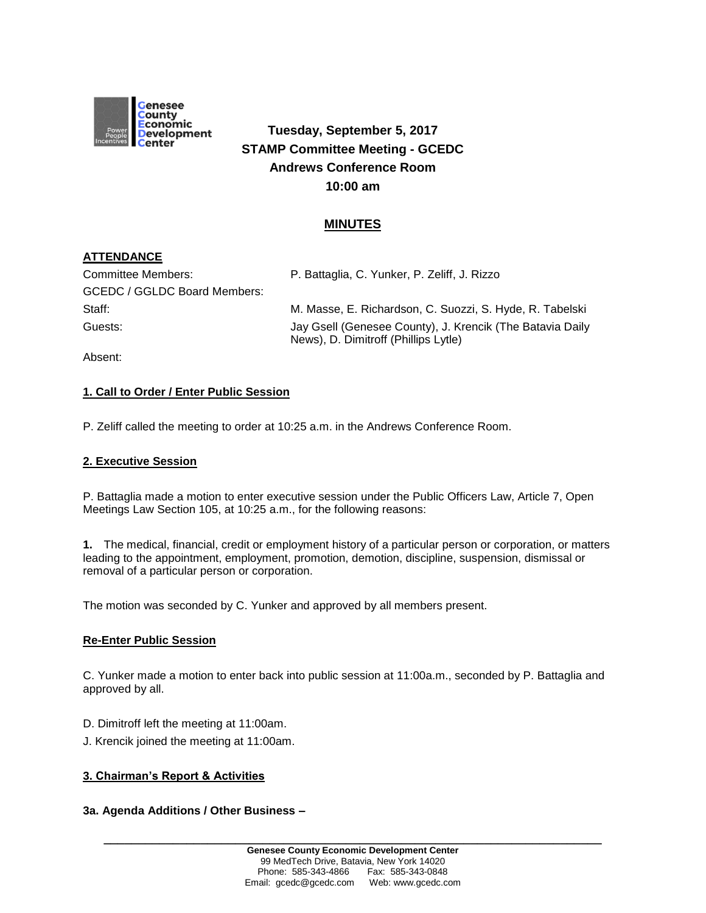

# **Tuesday, September 5, 2017 STAMP Committee Meeting - GCEDC Andrews Conference Room 10:00 am**

## **MINUTES**

## **ATTENDANCE**

| Committee Members:           | P. Battaglia, C. Yunker, P. Zeliff, J. Rizzo                                                      |
|------------------------------|---------------------------------------------------------------------------------------------------|
| GCEDC / GGLDC Board Members: |                                                                                                   |
| Staff:                       | M. Masse, E. Richardson, C. Suozzi, S. Hyde, R. Tabelski                                          |
| Guests:                      | Jay Gsell (Genesee County), J. Krencik (The Batavia Daily<br>News), D. Dimitroff (Phillips Lytle) |
|                              |                                                                                                   |

Absent:

## **1. Call to Order / Enter Public Session**

P. Zeliff called the meeting to order at 10:25 a.m. in the Andrews Conference Room.

### **2. Executive Session**

P. Battaglia made a motion to enter executive session under the Public Officers Law, Article 7, Open Meetings Law Section 105, at 10:25 a.m., for the following reasons:

**1.** The medical, financial, credit or employment history of a particular person or corporation, or matters leading to the appointment, employment, promotion, demotion, discipline, suspension, dismissal or removal of a particular person or corporation.

The motion was seconded by C. Yunker and approved by all members present.

#### **Re-Enter Public Session**

C. Yunker made a motion to enter back into public session at 11:00a.m., seconded by P. Battaglia and approved by all.

- D. Dimitroff left the meeting at 11:00am.
- J. Krencik joined the meeting at 11:00am.

#### **3. Chairman's Report & Activities**

#### **3a. Agenda Additions / Other Business –**

**\_\_\_\_\_\_\_\_\_\_\_\_\_\_\_\_\_\_\_\_\_\_\_\_\_\_\_\_\_\_\_\_\_\_\_\_\_\_\_\_\_\_\_\_\_\_\_\_\_\_\_\_\_\_\_\_\_\_\_\_\_\_\_\_\_\_\_\_\_\_\_\_**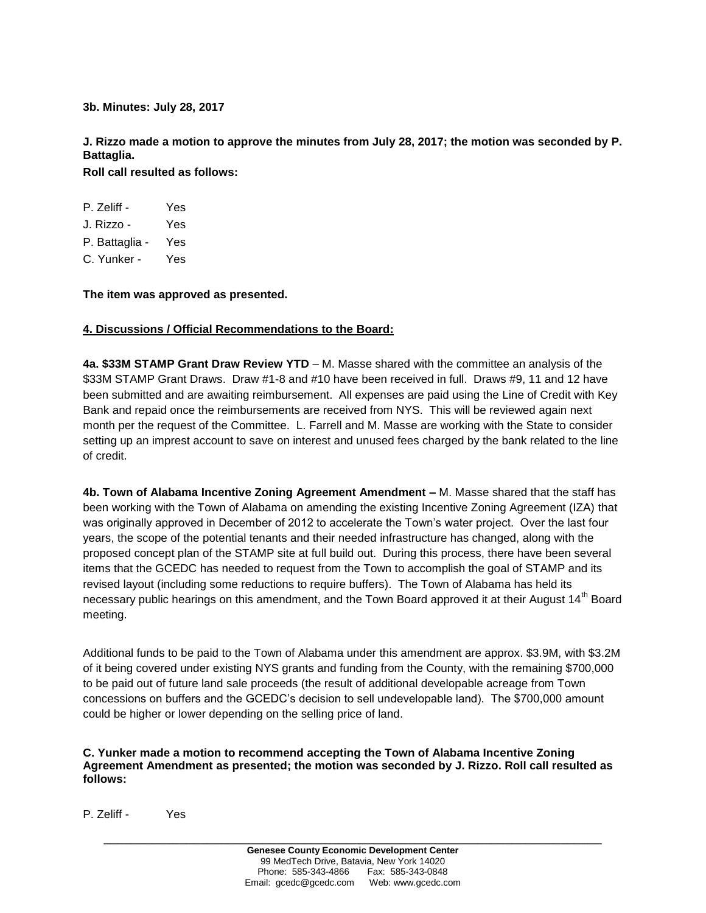**3b. Minutes: July 28, 2017**

**J. Rizzo made a motion to approve the minutes from July 28, 2017; the motion was seconded by P. Battaglia.** 

**Roll call resulted as follows:**

| P. Zeliff -    | Yes |
|----------------|-----|
| J. Rizzo -     | Yes |
| P. Battaglia - | Yes |
| C. Yunker -    | Yes |

**The item was approved as presented.**

## **4. Discussions / Official Recommendations to the Board:**

**4a. \$33M STAMP Grant Draw Review YTD** – M. Masse shared with the committee an analysis of the \$33M STAMP Grant Draws. Draw #1-8 and #10 have been received in full. Draws #9, 11 and 12 have been submitted and are awaiting reimbursement. All expenses are paid using the Line of Credit with Key Bank and repaid once the reimbursements are received from NYS. This will be reviewed again next month per the request of the Committee. L. Farrell and M. Masse are working with the State to consider setting up an imprest account to save on interest and unused fees charged by the bank related to the line of credit.

**4b. Town of Alabama Incentive Zoning Agreement Amendment –** M. Masse shared that the staff has been working with the Town of Alabama on amending the existing Incentive Zoning Agreement (IZA) that was originally approved in December of 2012 to accelerate the Town's water project. Over the last four years, the scope of the potential tenants and their needed infrastructure has changed, along with the proposed concept plan of the STAMP site at full build out. During this process, there have been several items that the GCEDC has needed to request from the Town to accomplish the goal of STAMP and its revised layout (including some reductions to require buffers). The Town of Alabama has held its necessary public hearings on this amendment, and the Town Board approved it at their August 14<sup>th</sup> Board meeting.

Additional funds to be paid to the Town of Alabama under this amendment are approx. \$3.9M, with \$3.2M of it being covered under existing NYS grants and funding from the County, with the remaining \$700,000 to be paid out of future land sale proceeds (the result of additional developable acreage from Town concessions on buffers and the GCEDC's decision to sell undevelopable land). The \$700,000 amount could be higher or lower depending on the selling price of land.

**C. Yunker made a motion to recommend accepting the Town of Alabama Incentive Zoning Agreement Amendment as presented; the motion was seconded by J. Rizzo. Roll call resulted as follows:**

P. Zeliff - Yes